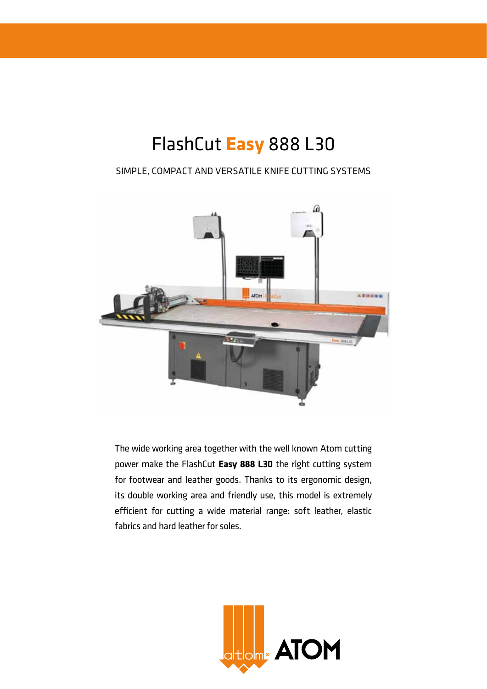# FlashCut **Easy** 888 L30

# Simple, compact and versatile knife cutting systems



The wide working area together with the well known Atom cutting power make the FlashCut **Easy 888 L30** the right cutting system for footwear and leather goods. Thanks to its ergonomic design, its double working area and friendly use, this model is extremely efficient for cutting a wide material range: soft leather, elastic fabrics and hard leather for soles.